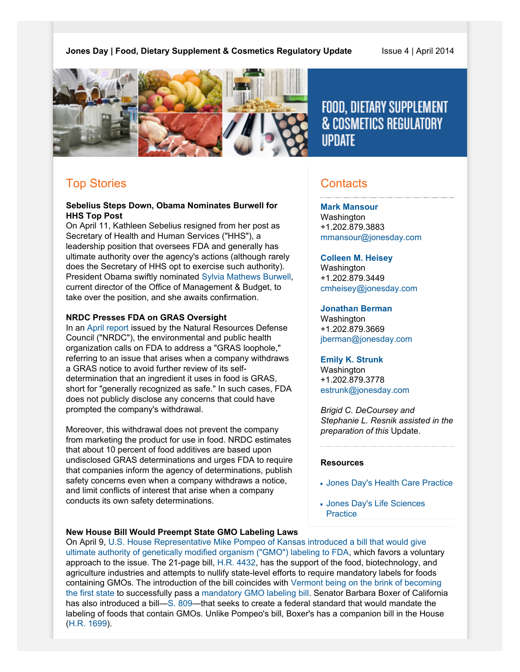

# FOOD, DIETARY SUPPLEMENT **& COSMETICS REGULATORY IIPDATF**

## Top Stories

#### **Sebelius Steps Down, Obama Nominates Burwell for HHS Top Post**

On April 11, Kathleen Sebelius resigned from her post as Secretary of Health and Human Services ("HHS"), a leadership position that oversees FDA and generally has ultimate authority over the agency's actions (although rarely does the Secretary of HHS opt to exercise such authority). President Obama swiftly nominated [Sylvia Mathews Burwell,](http://www.nytimes.com/2014/04/12/us/politics/obama-burwell-health-nomination.html?hpw&rref=us&_r=1) current director of the Office of Management & Budget, to take over the position, and she awaits confirmation.

#### **NRDC Presses FDA on GRAS Oversight**

In an [April report](http://www.nrdc.org/food/safety-loophole-for-chemicals-in-food.asp) issued by the Natural Resources Defense Council ("NRDC"), the environmental and public health organization calls on FDA to address a "GRAS loophole," referring to an issue that arises when a company withdraws a GRAS notice to avoid further review of its selfdetermination that an ingredient it uses in food is GRAS, short for "generally recognized as safe." In such cases, FDA does not publicly disclose any concerns that could have prompted the company's withdrawal.

Moreover, this withdrawal does not prevent the company from marketing the product for use in food. NRDC estimates that about 10 percent of food additives are based upon undisclosed GRAS determinations and urges FDA to require that companies inform the agency of determinations, publish safety concerns even when a company withdraws a notice, and limit conflicts of interest that arise when a company conducts its own safety determinations.

### **Contacts**

#### **[Mark Mansour](http://www.jonesday.com/mmansour)**

Washington +1.202.879.3883 [mmansour@jonesday.com](mailto:mmansour@jonesday.com)

#### **[Colleen M. Heisey](http://www.jonesday.com/cmheisey)**

Washington +1.202.879.3449 [cmheisey@jonesday.com](mailto:cmheisey@jonesday.com)

### **[Jonathan Berman](http://www.jonesday.com/jberman)**

**Washington** +1.202.879.3669 [jberman@jonesday.com](mailto:jberman@jonesday.com)

#### **[Emily K. Strunk](http://www.jonesday.com/estrunk)**

**Washington** +1.202.879.3778 [estrunk@jonesday.com](mailto:estrunk@jonesday.com)

*Brigid C. DeCoursey and Stephanie L. Resnik assisted in the preparation of this* Update.

#### **Resources**

- [Jones Day's Health Care Practice](http://www.jonesday.com/health-care-practices/)
- [Jones Day's Life Sciences](http://www.jonesday.com/lifesciences/) **[Practice](http://www.jonesday.com/lifesciences/)**

#### **New House Bill Would Preempt State GMO Labeling Laws**

On April 9, [U.S. House Representative Mike Pompeo of Kansas introduced a bill that would give](http://www.politico.com/story/2014/04/gmo-labeling-bill-105548.html) [ultimate authority of genetically modified organism \("GMO"\) labeling to FDA,](http://www.politico.com/story/2014/04/gmo-labeling-bill-105548.html) which favors a voluntary approach to the issue. The 21-page bill, [H.R. 4432](http://beta.congress.gov/bill/113th-congress/house-bill/4432), has the support of the food, biotechnology, and agriculture industries and attempts to nullify state-level efforts to require mandatory labels for foods containing GMOs. The introduction of the bill coincides with [Vermont being on the brink of becoming](http://www.reuters.com/article/2014/04/16/us-usa-gmo-lawmaking-idUSBREA3F1KP20140416) [the first state](http://www.reuters.com/article/2014/04/16/us-usa-gmo-lawmaking-idUSBREA3F1KP20140416) to successfully pass a [mandatory GMO labeling bill.](http://www.leg.state.vt.us/docs/2014/bills/intro/H-112.pdf) Senator Barbara Boxer of California has also introduced a bill—[S. 809—](http://beta.congress.gov/bill/113th-congress/senate-bill/809)that seeks to create a federal standard that would mandate the labeling of foods that contain GMOs. Unlike Pompeo's bill, Boxer's has a companion bill in the House ([H.R. 1699\)](http://beta.congress.gov/bill/113th-congress/house-bill/1699).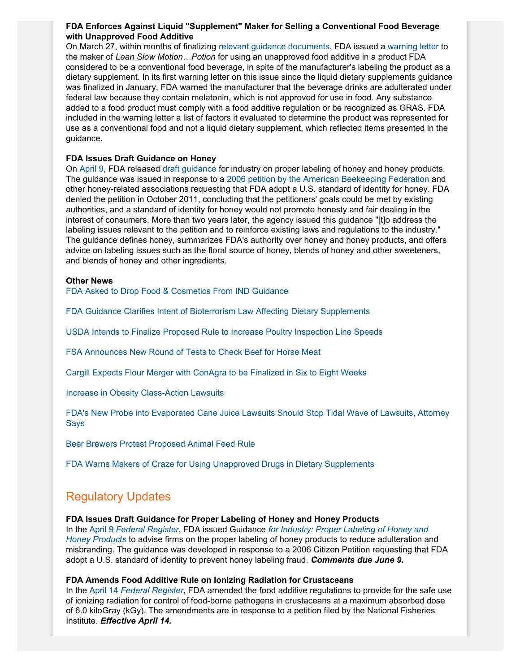#### **FDA Enforces Against Liquid "Supplement" Maker for Selling a Conventional Food Beverage with Unapproved Food Additive**

On March 27, within months of finalizing [relevant guidance documents](http://www.fda.gov/Food/NewsEvents/ConstituentUpdates/ucm381566.htm), FDA issued a [warning letter](http://www.fda.gov/ICECI/EnforcementActions/WarningLetters/ucm390967.htm) to the maker of *Lean Slow Motion*…*Potion* for using an unapproved food additive in a product FDA considered to be a conventional food beverage, in spite of the manufacturer's labeling the product as a dietary supplement. In its first warning letter on this issue since the liquid dietary supplements guidance was finalized in January, FDA warned the manufacturer that the beverage drinks are adulterated under federal law because they contain melatonin, which is not approved for use in food. Any substance added to a food product must comply with a food additive regulation or be recognized as GRAS. FDA included in the warning letter a list of factors it evaluated to determine the product was represented for use as a conventional food and not a liquid dietary supplement, which reflected items presented in the guidance.

#### **FDA Issues Draft Guidance on Honey**

On [April 9](http://www.fda.gov/Food/NewsEvents/ConstituentUpdates/ucm392193.htm), FDA released [draft guidance](http://www.fda.gov/downloads/Food/GuidanceRegulation/GuidanceDocumentsRegulatoryInformation/LabelingNutrition/UCM389828.pdf) for industry on proper labeling of honey and honey products. The guidance was issued in response to a [2006 petition by the American Beekeeping Federation](http://www.regulations.gov/#!docketDetail;D=FDA-2006-P-0207) and other honey-related associations requesting that FDA adopt a U.S. standard of identity for honey. FDA denied the petition in October 2011, concluding that the petitioners' goals could be met by existing authorities, and a standard of identity for honey would not promote honesty and fair dealing in the interest of consumers. More than two years later, the agency issued this guidance "[t]o address the labeling issues relevant to the petition and to reinforce existing laws and regulations to the industry." The guidance defines honey, summarizes FDA's authority over honey and honey products, and offers advice on labeling issues such as the floral source of honey, blends of honey and other sweeteners, and blends of honey and other ingredients.

#### **Other News**

[FDA Asked to Drop Food & Cosmetics From IND Guidance](http://www.regulations.gov/contentStreamer?objectId=09000064816a678e&disposition=attachment&contentType=pdf)

[FDA Guidance Clarifies Intent of Bioterrorism Law Affecting Dietary Supplements](http://www.raps.org/focus-online/news/news-article-view/article/4857.aspx)

[USDA Intends to Finalize Proposed Rule to Increase Poultry Inspection Line Speeds](http://www.foodsafetymagazine.com/news/usda-moving-forward-on-plans-to-increase-poultry-inspection-line-speeds/?emid=bdecoursey@jonesday.com)

[FSA Announces New Round of Tests to Check Beef for Horse Meat](http://www.foodsafetymagazine.com/news/fsa-announces-new-round-of-tests-to-check-beef-for-horse-meat/)

[Cargill Expects Flour Merger with ConAgra to be Finalized in Six to Eight Weeks](http://af.reuters.com/article/commoditiesNews/idAFL2N0N718820140415)

[Increase in Obesity Class-Action](http://www.foodnavigator-usa.com/Regulation/Is-Big-Food-the-new-tobacco) Lawsuits

[FDA's New Probe into Evaporated Cane Juice Lawsuits Should Stop Tidal Wave of Lawsuits, Attorney](http://www.foodnavigator-usa.com/Regulation/FDA-s-new-probe-into-evaporated-cane-juice-should-stop-tidal-wave-of-lawsuits-says-attorney.-But-judges-can-be-unpredictable) [Says](http://www.foodnavigator-usa.com/Regulation/FDA-s-new-probe-into-evaporated-cane-juice-should-stop-tidal-wave-of-lawsuits-says-attorney.-But-judges-can-be-unpredictable)

[Beer Brewers Protest Proposed Animal Feed Rule](http://www.mercurynews.com/california/ci_25458311/beer-brewers-uproar-over-new-proposed-fda-rule)

[FDA Warns Makers of Craze for Using Unapproved Drugs in Dietary Supplements](http://www.fda.gov/ICECI/EnforcementActions/WarningLetters/ucm392485.htm)

## Regulatory Updates

#### **FDA Issues Draft Guidance for Proper Labeling of Honey and Honey Products**

In the April 9 *[Federal Register](http://www.gpo.gov/fdsys/pkg/FR-2014-04-09/pdf/2014-07925.pdf)*, FDA issued Guidance *[for Industry: Proper Labeling of Honey and](http://www.fda.gov/food/guidanceregulation/guidancedocumentsregulatoryinformation/labelingnutrition/ucm389501.htm) [Honey Products](http://www.fda.gov/food/guidanceregulation/guidancedocumentsregulatoryinformation/labelingnutrition/ucm389501.htm)* to advise firms on the proper labeling of honey products to reduce adulteration and misbranding. The guidance was developed in response to a 2006 Citizen Petition requesting that FDA adopt a U.S. standard of identity to prevent honey labeling fraud. *Comments due June 9.*

#### **FDA Amends Food Additive Rule on Ionizing Radiation for Crustaceans**

In the April 14 *[Federal Register](http://www.gpo.gov/fdsys/pkg/FR-2014-04-14/pdf/2014-07926.pdf)*, FDA amended the food additive regulations to provide for the safe use of ionizing radiation for control of food-borne pathogens in crustaceans at a maximum absorbed dose of 6.0 kiloGray (kGy). The amendments are in response to a petition filed by the National Fisheries Institute. *Effective April 14.*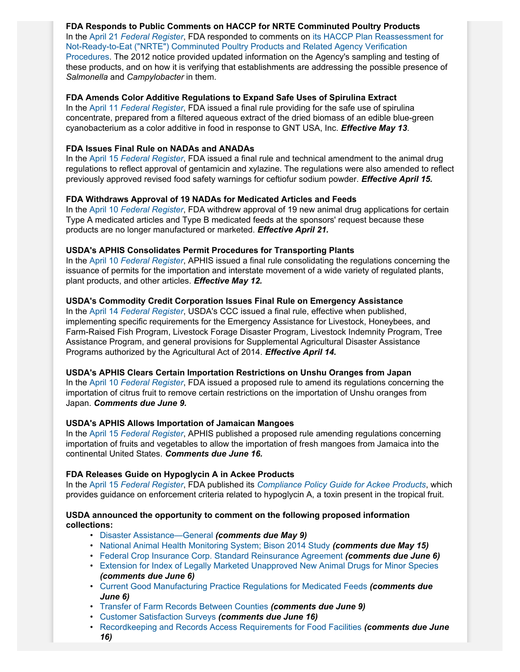**FDA Responds to Public Comments on HACCP for NRTE Comminuted Poultry Products** In the April 21 *[Federal Register](http://www.gpo.gov/fdsys/pkg/FR-2014-04-21/pdf/2014-08952.pdf)*, FDA responded to comments on [its HACCP Plan Reassessment for](http://www.gpo.gov/fdsys/pkg/FR-2012-12-06/pdf/2012-29510.pdf#page=1) [Not-Ready-to-Eat \("NRTE"\) Comminuted Poultry Products and Related Agency Verification](http://www.gpo.gov/fdsys/pkg/FR-2012-12-06/pdf/2012-29510.pdf#page=1) [Procedures.](http://www.gpo.gov/fdsys/pkg/FR-2012-12-06/pdf/2012-29510.pdf#page=1) The 2012 notice provided updated information on the Agency's sampling and testing of these products, and on how it is verifying that establishments are addressing the possible presence of *Salmonella* and *Campylobacter* in them.

#### **FDA Amends Color Additive Regulations to Expand Safe Uses of Spirulina Extract**

In the April 11 *[Federal Register](http://www.gpo.gov/fdsys/pkg/FR-2014-04-11/pdf/2014-08099.pdf)*, FDA issued a final rule providing for the safe use of spirulina concentrate, prepared from a filtered aqueous extract of the dried biomass of an edible blue-green cyanobacterium as a color additive in food in response to GNT USA, Inc. *Effective May 13*.

#### **FDA Issues Final Rule on NADAs and ANADAs**

In the April 15 *[Federal Register](http://www.gpo.gov/fdsys/pkg/FR-2014-04-15/pdf/2014-08445.pdf)*, FDA issued a final rule and technical amendment to the animal drug regulations to reflect approval of gentamicin and xylazine. The regulations were also amended to reflect previously approved revised food safety warnings for ceftiofur sodium powder. *Effective April 15.*

#### **FDA Withdraws Approval of 19 NADAs for Medicated Articles and Feeds**

In the April 10 *[Federal Register](http://www.gpo.gov/fdsys/pkg/FR-2014-04-10/pdf/2014-08010.pdf)*, FDA withdrew approval of 19 new animal drug applications for certain Type A medicated articles and Type B medicated feeds at the sponsors' request because these products are no longer manufactured or marketed. *Effective April 21.*

#### **USDA's APHIS Consolidates Permit Procedures for Transporting Plants**

In the April 10 *[Federal Register](http://www.gpo.gov/fdsys/pkg/FR-2014-04-10/pdf/2014-08095.pdf)*, APHIS issued a final rule consolidating the regulations concerning the issuance of permits for the importation and interstate movement of a wide variety of regulated plants, plant products, and other articles. *Effective May 12.*

#### **USDA's Commodity Credit Corporation Issues Final Rule on Emergency Assistance**

In the April 14 *[Federal Register](http://www.gpo.gov/fdsys/pkg/FR-2014-04-14/pdf/2014-08067.pdf)*, USDA's CCC issued a final rule, effective when published, implementing specific requirements for the Emergency Assistance for Livestock, Honeybees, and Farm-Raised Fish Program, Livestock Forage Disaster Program, Livestock Indemnity Program, Tree Assistance Program, and general provisions for Supplemental Agricultural Disaster Assistance Programs authorized by the Agricultural Act of 2014. *Effective April 14.*

#### **USDA's APHIS Clears Certain Importation Restrictions on Unshu Oranges from Japan**

In the April 10 *[Federal Register](http://www.gpo.gov/fdsys/pkg/FR-2014-04-10/pdf/2014-08019.pdf)*, FDA issued a proposed rule to amend its regulations concerning the importation of citrus fruit to remove certain restrictions on the importation of Unshu oranges from Japan. *Comments due June 9.*

#### **USDA's APHIS Allows Importation of Jamaican Mangoes**

In the April 15 *[Federal Register](http://www.gpo.gov/fdsys/pkg/FR-2014-04-15/pdf/2014-08480.pdf)*, APHIS published a proposed rule amending regulations concerning importation of fruits and vegetables to allow the importation of fresh mangoes from Jamaica into the continental United States. *Comments due June 16.*

#### **FDA Releases Guide on Hypoglycin A in Ackee Products**

In the April 15 *[Federal Register](http://www.gpo.gov/fdsys/pkg/FR-2014-04-15/pdf/2014-08428.pdf)*, FDA published its *[Compliance Policy Guide for Ackee Products](http://www.fda.gov/downloads/ICECI/ComplianceManuals/CompliancePolicyGuidanceManual/UCM393187.pdf)*, which provides guidance on enforcement criteria related to hypoglycin A, a toxin present in the tropical fruit.

#### **USDA announced the opportunity to comment on the following proposed information collections:**

- [Disaster Assistance—General](http://www.gpo.gov/fdsys/pkg/FR-2014-04-09/pdf/2014-07959.pdf) *(comments due May 9)*
- [National Animal Health Monitoring System; Bison 2014 Study](http://www.gpo.gov/fdsys/pkg/FR-2014-04-15/pdf/2014-08498.pdf) *(comments due May 15)*
- [Federal Crop Insurance Corp. Standard Reinsurance Agreement](http://www.gpo.gov/fdsys/pkg/FR-2014-04-07/pdf/2014-07616.pdf) *(comments due June 6)*
- [Extension for Index of Legally Marketed Unapproved New Animal Drugs for Minor Species](http://www.gpo.gov/fdsys/pkg/FR-2014-04-07/pdf/2014-07708.pdf) *(comments due June 6)*
- [Current Good Manufacturing Practice Regulations for Medicated Feeds](http://www.gpo.gov/fdsys/pkg/FR-2014-04-07/pdf/2014-07646.pdf) *(comments due June 6)*
- [Transfer of Farm Records Between Counties](http://www.gpo.gov/fdsys/pkg/FR-2014-04-09/pdf/2014-07867.pdf) *(comments due June 9)*
- [Customer Satisfaction Surveys](http://www.gpo.gov/fdsys/pkg/FR-2014-04-17/pdf/2014-08709.pdf) *(comments due June 16)*
- [Recordkeeping and Records Access Requirements for Food Facilities](http://www.gpo.gov/fdsys/pkg/FR-2014-04-17/pdf/2014-08707.pdf) *(comments due June 16)*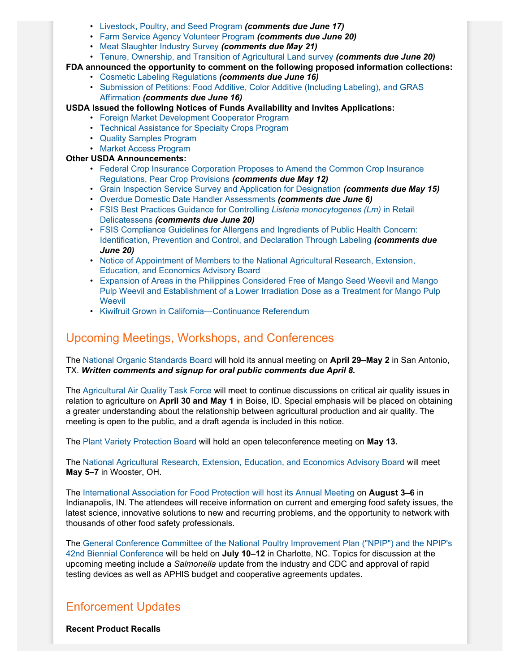- [Livestock, Poultry, and Seed Program](http://www.gpo.gov/fdsys/pkg/FR-2014-04-18/pdf/2014-08924.pdf) *(comments due June 17)*
- [Farm Service Agency Volunteer Program](http://www.gpo.gov/fdsys/pkg/FR-2014-04-21/pdf/2014-09000.pdf) *(comments due June 20)*
- [Meat Slaughter Industry Survey](http://www.gpo.gov/fdsys/pkg/FR-2014-04-21/pdf/2014-08961.pdf) *(comments due May 21)*
- [Tenure, Ownership, and Transition of Agricultural Land survey](http://www.gpo.gov/fdsys/pkg/FR-2014-04-21/pdf/2014-09007.pdf) *(comments due June 20)*
- **FDA announced the opportunity to comment on the following proposed information collections:**
	- [Cosmetic Labeling Regulations](http://www.gpo.gov/fdsys/pkg/FR-2014-04-17/pdf/2014-08708.pdf) *(comments due June 16)*
		- [Submission of Petitions: Food Additive, Color Additive \(Including Labeling\), and GRAS](http://www.gpo.gov/fdsys/pkg/FR-2014-04-16/pdf/2014-08590.pdf) [Affirmation](http://www.gpo.gov/fdsys/pkg/FR-2014-04-16/pdf/2014-08590.pdf) *(comments due June 16)*

**USDA Issued the following Notices of Funds Availability and Invites Applications:**

- [Foreign Market Development Cooperator Program](http://www.gpo.gov/fdsys/pkg/FR-2014-04-17/pdf/2014-08628.pdf)
- [Technical Assistance for Specialty Crops Program](http://www.gpo.gov/fdsys/pkg/FR-2014-04-17/pdf/2014-08626.pdf)
- [Quality Samples Program](http://www.gpo.gov/fdsys/pkg/FR-2014-04-16/pdf/2014-08622.pdf)
- [Market Access Program](http://www.gpo.gov/fdsys/pkg/FR-2014-04-16/pdf/2014-08621.pdf)

### **Other USDA Announcements:**

- [Federal Crop Insurance Corporation Proposes to Amend the Common Crop Insurance](http://www.gpo.gov/fdsys/pkg/FR-2014-04-11/pdf/2014-07155.pdf) [Regulations, Pear Crop Provisions](http://www.gpo.gov/fdsys/pkg/FR-2014-04-11/pdf/2014-07155.pdf) *(comments due May 12)*
- [Grain Inspection Service Survey and Application for Designation](http://www.gpo.gov/fdsys/pkg/FR-2014-04-15/pdf/2014-08481.pdf) *(comments due May 15)*
- [Overdue Domestic Date Handler Assessments](http://www.gpo.gov/fdsys/pkg/FR-2014-04-07/pdf/2014-07701.pdf) *(comments due June 6)*
- [FSIS Best Practices Guidance for Controlling](http://www.gpo.gov/fdsys/pkg/FR-2014-04-21/pdf/2014-08955.pdf) *Listeria monocytogenes (Lm)* in Retail [Delicatessens](http://www.gpo.gov/fdsys/pkg/FR-2014-04-21/pdf/2014-08955.pdf) *(comments due June 20)*
- [FSIS Compliance Guidelines for Allergens and Ingredients of Public Health Concern:](http://www.gpo.gov/fdsys/pkg/FR-2014-04-21/pdf/2014-08956.pdf) [Identification, Prevention and Control, and Declaration Through Labeling](http://www.gpo.gov/fdsys/pkg/FR-2014-04-21/pdf/2014-08956.pdf) *(comments due June 20)*
- [Notice of Appointment of Members to the National Agricultural Research, Extension,](http://www.gpo.gov/fdsys/pkg/FR-2014-04-10/pdf/2014-08026.pdf) [Education, and Economics Advisory Board](http://www.gpo.gov/fdsys/pkg/FR-2014-04-10/pdf/2014-08026.pdf)
- [Expansion of Areas in the Philippines Considered Free of Mango Seed Weevil and Mango](https://www.federalregister.gov/articles/2014/04/10/2014-08020/expansion-of-areas-in-the-philippines-considered-free-of-mango-seed-weevil-and-mango-pulp-weevil-and) [Pulp Weevil and Establishment of a Lower Irradiation Dose as a Treatment for Mango Pulp](https://www.federalregister.gov/articles/2014/04/10/2014-08020/expansion-of-areas-in-the-philippines-considered-free-of-mango-seed-weevil-and-mango-pulp-weevil-and) **[Weevil](https://www.federalregister.gov/articles/2014/04/10/2014-08020/expansion-of-areas-in-the-philippines-considered-free-of-mango-seed-weevil-and-mango-pulp-weevil-and)**
- [Kiwifruit Grown in California—Continuance Referendum](http://www.gpo.gov/fdsys/pkg/FR-2014-04-09/pdf/2014-07980.pdf)

### Upcoming Meetings, Workshops, and Conferences

The [National Organic Standards Board](http://www.gpo.gov/fdsys/pkg/FR-2014-03-10/pdf/2014-05111.pdf) will hold its annual meeting on **April 29–May 2** in San Antonio, TX. *Written comments and signup for oral public comments due April 8.*

The [Agricultural Air Quality Task Force](http://www.gpo.gov/fdsys/pkg/FR-2014-04-14/pdf/2014-08229.pdf) will meet to continue discussions on critical air quality issues in relation to agriculture on **April 30 and May 1** in Boise, ID. Special emphasis will be placed on obtaining a greater understanding about the relationship between agricultural production and air quality. The meeting is open to the public, and a draft agenda is included in this notice.

The [Plant Variety Protection Board](http://www.gpo.gov/fdsys/pkg/FR-2014-04-07/pdf/2014-07703.pdf) will hold an open teleconference meeting on **May 13.**

The [National Agricultural Research, Extension, Education, and Economics Advisory Board](http://www.gpo.gov/fdsys/pkg/FR-2014-04-15/pdf/2014-08478.pdf) will meet **May 5–7** in Wooster, OH.

The [International Association for Food Protection will host its Annual Meeting](http://www.foodprotection.org/annualmeeting/) on **August 3–6** in Indianapolis, IN. The attendees will receive information on current and emerging food safety issues, the latest science, innovative solutions to new and recurring problems, and the opportunity to network with thousands of other food safety professionals.

The [General Conference Committee of the National Poultry Improvement Plan \("NPIP"\) and the NPIP's](http://www.gpo.gov/fdsys/pkg/FR-2014-04-08/pdf/2014-07847.pdf) [42nd Biennial Conference](http://www.gpo.gov/fdsys/pkg/FR-2014-04-08/pdf/2014-07847.pdf) will be held on **July 10–12** in Charlotte, NC. Topics for discussion at the upcoming meeting include a *Salmonella* update from the industry and CDC and approval of rapid testing devices as well as APHIS budget and cooperative agreements updates.

### Enforcement Updates

**Recent Product Recalls**